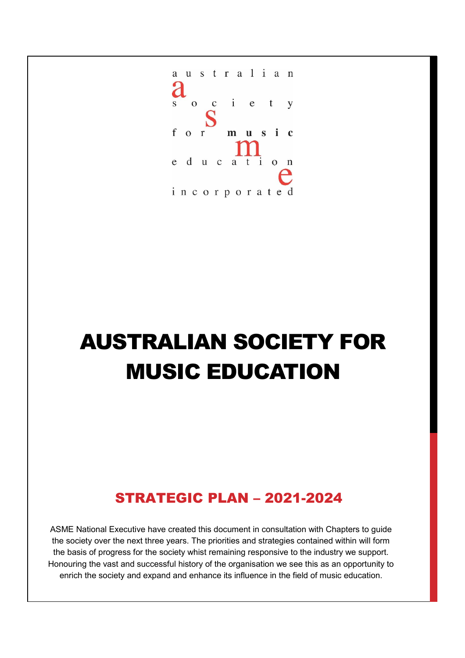

## AUSTRALIAN SOCIETY FOR MUSIC EDUCATION

### STRATEGIC PLAN – 2021-2024

ASME National Executive have created this document in consultation with Chapters to guide the society over the next three years. The priorities and strategies contained within will form the basis of progress for the society whist remaining responsive to the industry we support. Honouring the vast and successful history of the organisation we see this as an opportunity to enrich the society and expand and enhance its influence in the field of music education.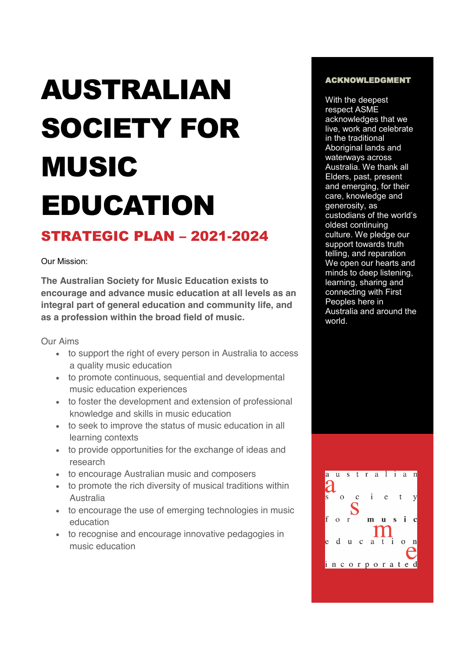# AUSTRALIAN SOCIETY FOR MUSIC EDUCATION

#### STRATEGIC PLAN – 2021-2024

Our Mission:

**The Australian Society for Music Education exists to encourage and advance music education at all levels as an integral part of general education and community life, and as a profession within the broad field of music.**

Our Aims

- to support the right of every person in Australia to access a quality music education
- to promote continuous, sequential and developmental music education experiences
- to foster the development and extension of professional knowledge and skills in music education
- to seek to improve the status of music education in all learning contexts
- to provide opportunities for the exchange of ideas and research
- to encourage Australian music and composers
- to promote the rich diversity of musical traditions within Australia
- to encourage the use of emerging technologies in music education
- to recognise and encourage innovative pedagogies in music education

#### ACKNOWLEDGMENT

With the deepest respect ASME acknowledges that we live, work and celebrate in the traditional Aboriginal lands and waterways across Australia. We thank all Elders, past, present and emerging, for their care, knowledge and generosity, as custodians of the world's oldest continuing culture. We pledge our support towards truth telling, and reparation We open our hearts and minds to deep listening, learning, sharing and connecting with First Peoples here in Australia and around the world.

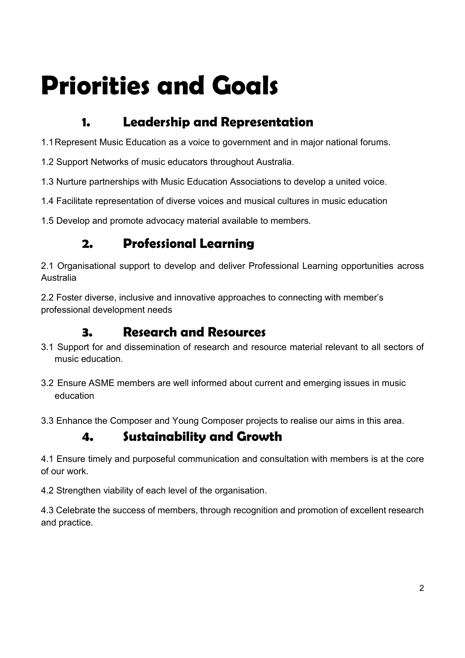# **Priorities and Goals**

#### **1. Leadership and Representation**

1.1Represent Music Education as a voice to government and in major national forums.

- 1.2 Support Networks of music educators throughout Australia.
- 1.3 Nurture partnerships with Music Education Associations to develop a united voice.
- 1.4 Facilitate representation of diverse voices and musical cultures in music education

1.5 Develop and promote advocacy material available to members.

#### **2. Professional Learning**

2.1 Organisational support to develop and deliver Professional Learning opportunities across Australia

2.2 Foster diverse, inclusive and innovative approaches to connecting with member's professional development needs

#### **3. Research and Resources**

- 3.1 Support for and dissemination of research and resource material relevant to all sectors of music education.
- 3.2 Ensure ASME members are well informed about current and emerging issues in music education
- 3.3 Enhance the Composer and Young Composer projects to realise our aims in this area.

#### **4. Sustainability and Growth**

4.1 Ensure timely and purposeful communication and consultation with members is at the core of our work.

4.2 Strengthen viability of each level of the organisation.

4.3 Celebrate the success of members, through recognition and promotion of excellent research and practice.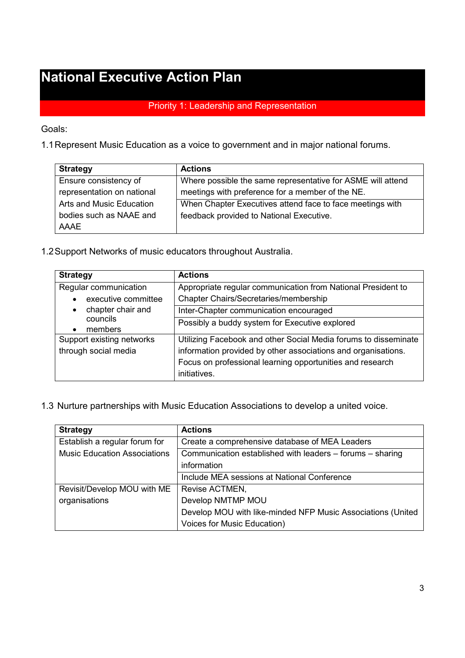## **National Executive Action Plan**

#### Priority 1: Leadership and Representation

Goals:

1.1Represent Music Education as a voice to government and in major national forums.

| <b>Strategy</b>            | <b>Actions</b>                                              |
|----------------------------|-------------------------------------------------------------|
| Ensure consistency of      | Where possible the same representative for ASME will attend |
| representation on national | meetings with preference for a member of the NE.            |
| Arts and Music Education   | When Chapter Executives attend face to face meetings with   |
| bodies such as NAAE and    | feedback provided to National Executive.                    |
| AAAE                       |                                                             |

1.2Support Networks of music educators throughout Australia.

| <b>Strategy</b>                | <b>Actions</b>                                                  |
|--------------------------------|-----------------------------------------------------------------|
| Regular communication          | Appropriate regular communication from National President to    |
| executive committee            | Chapter Chairs/Secretaries/membership                           |
| chapter chair and<br>$\bullet$ | Inter-Chapter communication encouraged                          |
| councils<br>members            | Possibly a buddy system for Executive explored                  |
| Support existing networks      | Utilizing Facebook and other Social Media forums to disseminate |
| through social media           | information provided by other associations and organisations.   |
|                                | Focus on professional learning opportunities and research       |
|                                | initiatives.                                                    |

1.3 Nurture partnerships with Music Education Associations to develop a united voice.

| <b>Strategy</b>                     | <b>Actions</b>                                              |
|-------------------------------------|-------------------------------------------------------------|
| Establish a regular forum for       | Create a comprehensive database of MEA Leaders              |
| <b>Music Education Associations</b> | Communication established with leaders - forums - sharing   |
|                                     | information                                                 |
|                                     | Include MEA sessions at National Conference                 |
| Revisit/Develop MOU with ME         | Revise ACTMEN,                                              |
| organisations                       | Develop NMTMP MOU                                           |
|                                     | Develop MOU with like-minded NFP Music Associations (United |
|                                     | Voices for Music Education)                                 |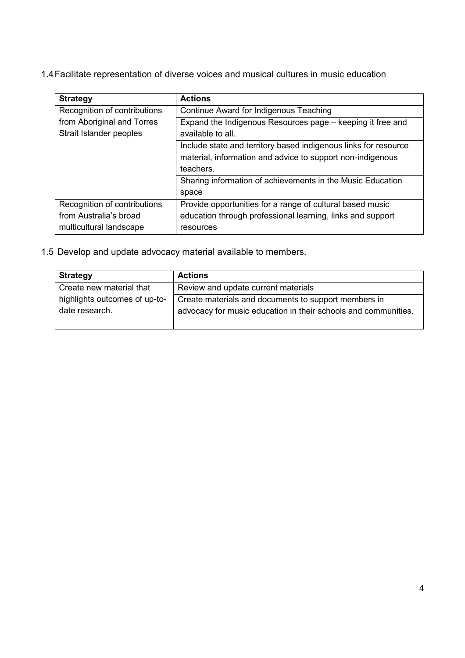1.4Facilitate representation of diverse voices and musical cultures in music education

| <b>Strategy</b>              | <b>Actions</b>                                                  |
|------------------------------|-----------------------------------------------------------------|
| Recognition of contributions | Continue Award for Indigenous Teaching                          |
| from Aboriginal and Torres   | Expand the Indigenous Resources page – keeping it free and      |
| Strait Islander peoples      | available to all.                                               |
|                              | Include state and territory based indigenous links for resource |
|                              | material, information and advice to support non-indigenous      |
|                              | teachers.                                                       |
|                              | Sharing information of achievements in the Music Education      |
|                              | space                                                           |
| Recognition of contributions | Provide opportunities for a range of cultural based music       |
| from Australia's broad       | education through professional learning, links and support      |
| multicultural landscape      | resources                                                       |

1.5 Develop and update advocacy material available to members.

| <b>Strategy</b>               | <b>Actions</b>                                                 |
|-------------------------------|----------------------------------------------------------------|
| Create new material that      | Review and update current materials                            |
| highlights outcomes of up-to- | Create materials and documents to support members in           |
| date research.                | advocacy for music education in their schools and communities. |
|                               |                                                                |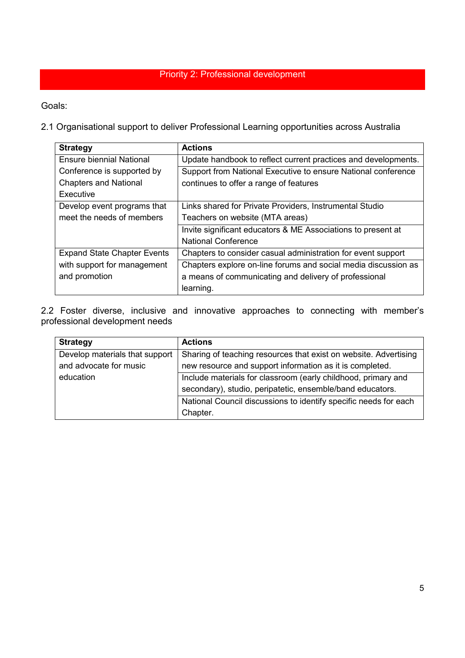#### Priority 2: Professional development

Goals:

2.1 Organisational support to deliver Professional Learning opportunities across Australia

| <b>Strategy</b>                    | <b>Actions</b>                                                 |
|------------------------------------|----------------------------------------------------------------|
| <b>Ensure biennial National</b>    | Update handbook to reflect current practices and developments. |
| Conference is supported by         | Support from National Executive to ensure National conference  |
| <b>Chapters and National</b>       | continues to offer a range of features                         |
| Executive                          |                                                                |
| Develop event programs that        | Links shared for Private Providers, Instrumental Studio        |
| meet the needs of members          | Teachers on website (MTA areas)                                |
|                                    | Invite significant educators & ME Associations to present at   |
|                                    | <b>National Conference</b>                                     |
| <b>Expand State Chapter Events</b> | Chapters to consider casual administration for event support   |
| with support for management        | Chapters explore on-line forums and social media discussion as |
| and promotion                      | a means of communicating and delivery of professional          |
|                                    | learning.                                                      |

2.2 Foster diverse, inclusive and innovative approaches to connecting with member's professional development needs

| <b>Strategy</b>                | <b>Actions</b>                                                   |
|--------------------------------|------------------------------------------------------------------|
| Develop materials that support | Sharing of teaching resources that exist on website. Advertising |
| and advocate for music         | new resource and support information as it is completed.         |
| education                      | Include materials for classroom (early childhood, primary and    |
|                                | secondary), studio, peripatetic, ensemble/band educators.        |
|                                | National Council discussions to identify specific needs for each |
|                                | Chapter.                                                         |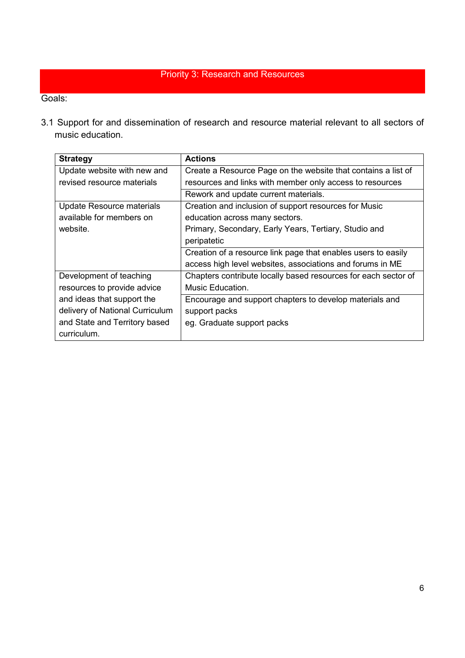#### Priority 3: Research and Resources

Goals:

3.1 Support for and dissemination of research and resource material relevant to all sectors of music education.

| <b>Strategy</b>                 | <b>Actions</b>                                                 |
|---------------------------------|----------------------------------------------------------------|
| Update website with new and     | Create a Resource Page on the website that contains a list of  |
| revised resource materials      | resources and links with member only access to resources       |
|                                 | Rework and update current materials.                           |
| Update Resource materials       | Creation and inclusion of support resources for Music          |
| available for members on        | education across many sectors.                                 |
| website.                        | Primary, Secondary, Early Years, Tertiary, Studio and          |
|                                 | peripatetic                                                    |
|                                 | Creation of a resource link page that enables users to easily  |
|                                 | access high level websites, associations and forums in ME      |
| Development of teaching         | Chapters contribute locally based resources for each sector of |
| resources to provide advice     | Music Education.                                               |
| and ideas that support the      | Encourage and support chapters to develop materials and        |
| delivery of National Curriculum | support packs                                                  |
| and State and Territory based   | eg. Graduate support packs                                     |
| curriculum.                     |                                                                |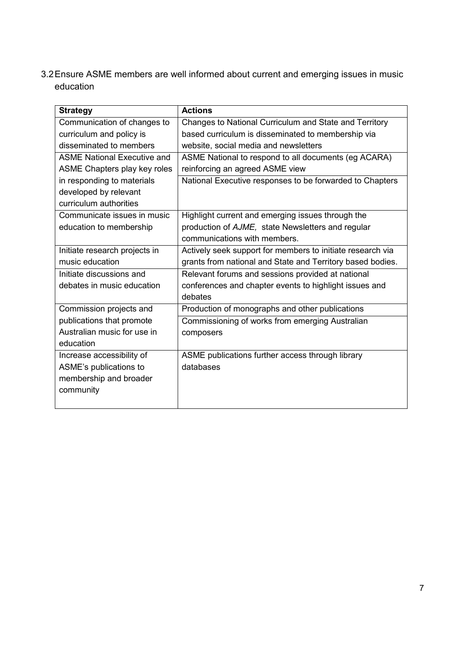3.2Ensure ASME members are well informed about current and emerging issues in music education

| <b>Strategy</b>                    | <b>Actions</b>                                             |
|------------------------------------|------------------------------------------------------------|
| Communication of changes to        | Changes to National Curriculum and State and Territory     |
| curriculum and policy is           | based curriculum is disseminated to membership via         |
| disseminated to members            | website, social media and newsletters                      |
| <b>ASME National Executive and</b> | ASME National to respond to all documents (eg ACARA)       |
| ASME Chapters play key roles       | reinforcing an agreed ASME view                            |
| in responding to materials         | National Executive responses to be forwarded to Chapters   |
| developed by relevant              |                                                            |
| curriculum authorities             |                                                            |
| Communicate issues in music        | Highlight current and emerging issues through the          |
| education to membership            | production of AJME, state Newsletters and regular          |
|                                    | communications with members.                               |
| Initiate research projects in      | Actively seek support for members to initiate research via |
| music education                    | grants from national and State and Territory based bodies. |
| Initiate discussions and           | Relevant forums and sessions provided at national          |
| debates in music education         | conferences and chapter events to highlight issues and     |
|                                    | debates                                                    |
| Commission projects and            | Production of monographs and other publications            |
| publications that promote          | Commissioning of works from emerging Australian            |
| Australian music for use in        | composers                                                  |
| education                          |                                                            |
| Increase accessibility of          | ASME publications further access through library           |
| ASME's publications to             | databases                                                  |
| membership and broader             |                                                            |
| community                          |                                                            |
|                                    |                                                            |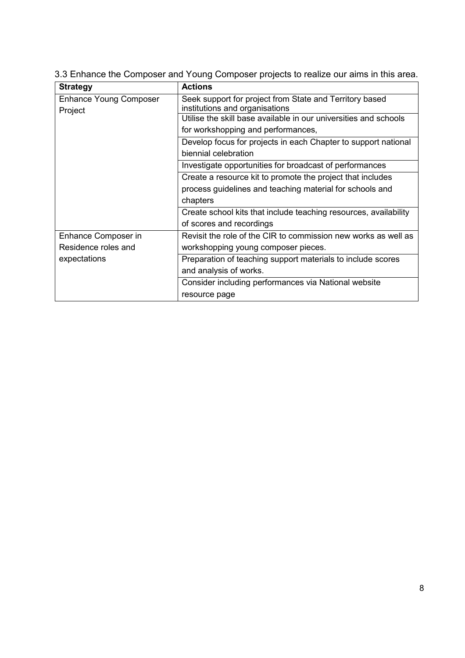| <b>Strategy</b>               | <b>Actions</b>                                                   |
|-------------------------------|------------------------------------------------------------------|
| <b>Enhance Young Composer</b> | Seek support for project from State and Territory based          |
| Project                       | institutions and organisations                                   |
|                               | Utilise the skill base available in our universities and schools |
|                               | for workshopping and performances,                               |
|                               | Develop focus for projects in each Chapter to support national   |
|                               | biennial celebration                                             |
|                               | Investigate opportunities for broadcast of performances          |
|                               | Create a resource kit to promote the project that includes       |
|                               | process guidelines and teaching material for schools and         |
|                               | chapters                                                         |
|                               | Create school kits that include teaching resources, availability |
|                               | of scores and recordings                                         |
| Enhance Composer in           | Revisit the role of the CIR to commission new works as well as   |
| Residence roles and           | workshopping young composer pieces.                              |
| expectations                  | Preparation of teaching support materials to include scores      |
|                               | and analysis of works.                                           |
|                               | Consider including performances via National website             |
|                               | resource page                                                    |

3.3 Enhance the Composer and Young Composer projects to realize our aims in this area.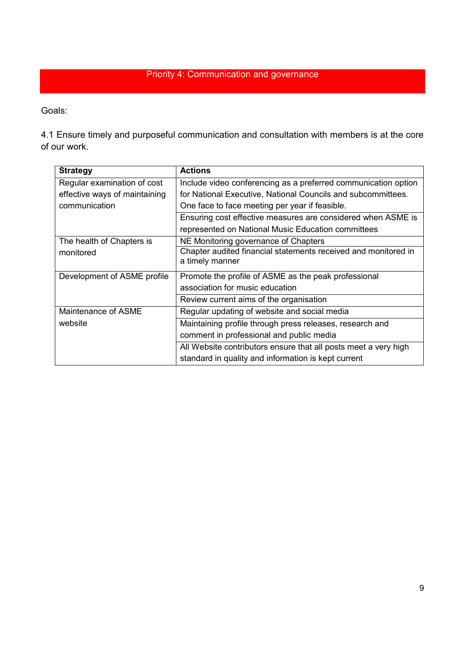#### Priority 4: Communication and governance

Goals:

4.1 Ensure timely and purposeful communication and consultation with members is at the core of our work.

| <b>Strategy</b>               | <b>Actions</b>                                                  |
|-------------------------------|-----------------------------------------------------------------|
| Regular examination of cost   | Include video conferencing as a preferred communication option  |
| effective ways of maintaining | for National Executive, National Councils and subcommittees.    |
| communication                 | One face to face meeting per year if feasible.                  |
|                               | Ensuring cost effective measures are considered when ASME is    |
|                               | represented on National Music Education committees              |
| The health of Chapters is     | NE Monitoring governance of Chapters                            |
| monitored                     | Chapter audited financial statements received and monitored in  |
|                               | a timely manner                                                 |
| Development of ASME profile   | Promote the profile of ASME as the peak professional            |
|                               | association for music education                                 |
|                               | Review current aims of the organisation                         |
| Maintenance of ASME           | Regular updating of website and social media                    |
| website                       | Maintaining profile through press releases, research and        |
|                               | comment in professional and public media                        |
|                               | All Website contributors ensure that all posts meet a very high |
|                               | standard in quality and information is kept current             |